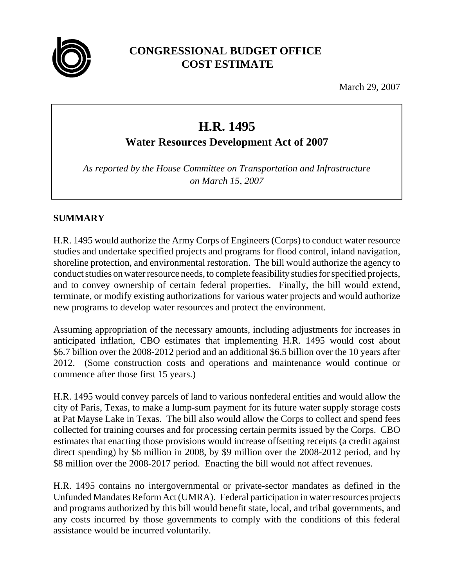

## **CONGRESSIONAL BUDGET OFFICE COST ESTIMATE**

March 29, 2007

# **H.R. 1495**

**Water Resources Development Act of 2007**

*As reported by the House Committee on Transportation and Infrastructure on March 15, 2007*

## **SUMMARY**

H.R. 1495 would authorize the Army Corps of Engineers (Corps) to conduct water resource studies and undertake specified projects and programs for flood control, inland navigation, shoreline protection, and environmental restoration. The bill would authorize the agency to conduct studies on water resource needs, to complete feasibility studies for specified projects, and to convey ownership of certain federal properties. Finally, the bill would extend, terminate, or modify existing authorizations for various water projects and would authorize new programs to develop water resources and protect the environment.

Assuming appropriation of the necessary amounts, including adjustments for increases in anticipated inflation, CBO estimates that implementing H.R. 1495 would cost about \$6.7 billion over the 2008-2012 period and an additional \$6.5 billion over the 10 years after 2012. (Some construction costs and operations and maintenance would continue or commence after those first 15 years.)

H.R. 1495 would convey parcels of land to various nonfederal entities and would allow the city of Paris, Texas, to make a lump-sum payment for its future water supply storage costs at Pat Mayse Lake in Texas. The bill also would allow the Corps to collect and spend fees collected for training courses and for processing certain permits issued by the Corps. CBO estimates that enacting those provisions would increase offsetting receipts (a credit against direct spending) by \$6 million in 2008, by \$9 million over the 2008-2012 period, and by \$8 million over the 2008-2017 period. Enacting the bill would not affect revenues.

H.R. 1495 contains no intergovernmental or private-sector mandates as defined in the Unfunded Mandates Reform Act (UMRA). Federal participation in water resources projects and programs authorized by this bill would benefit state, local, and tribal governments, and any costs incurred by those governments to comply with the conditions of this federal assistance would be incurred voluntarily.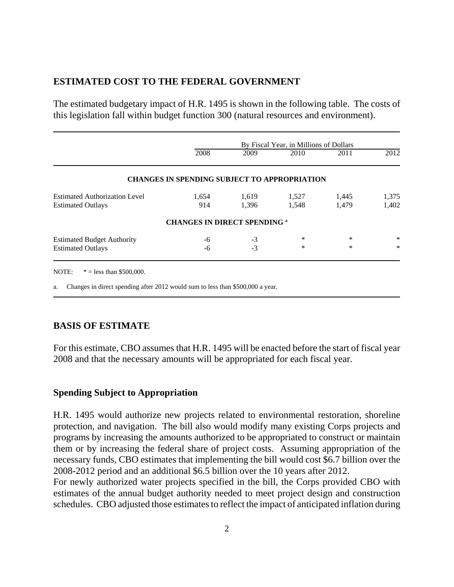#### **ESTIMATED COST TO THE FEDERAL GOVERNMENT**

The estimated budgetary impact of H.R. 1495 is shown in the following table. The costs of this legislation fall within budget function 300 (natural resources and environment).

|                                      | By Fiscal Year, in Millions of Dollars              |       |       |       |        |
|--------------------------------------|-----------------------------------------------------|-------|-------|-------|--------|
|                                      | 2008                                                | 2009  | 2010  | 2011  | 2012   |
|                                      | <b>CHANGES IN SPENDING SUBJECT TO APPROPRIATION</b> |       |       |       |        |
| <b>Estimated Authorization Level</b> | 1,654                                               | 1,619 | 1,527 | 1,445 | 1,375  |
| <b>Estimated Outlays</b>             | 914                                                 | 1.396 | 1,548 | 1,479 | 1,402  |
|                                      | <b>CHANGES IN DIRECT SPENDING a</b>                 |       |       |       |        |
| <b>Estimated Budget Authority</b>    | -6                                                  | $-3$  | *     | *     | *      |
| <b>Estimated Outlays</b>             | -6                                                  | $-3$  | *     | *     | $\ast$ |

a. Changes in direct spending after 2012 would sum to less than \$500,000 a year.

#### **BASIS OF ESTIMATE**

For this estimate, CBO assumes that H.R. 1495 will be enacted before the start of fiscal year 2008 and that the necessary amounts will be appropriated for each fiscal year.

#### **Spending Subject to Appropriation**

H.R. 1495 would authorize new projects related to environmental restoration, shoreline protection, and navigation. The bill also would modify many existing Corps projects and programs by increasing the amounts authorized to be appropriated to construct or maintain them or by increasing the federal share of project costs. Assuming appropriation of the necessary funds, CBO estimates that implementing the bill would cost \$6.7 billion over the 2008-2012 period and an additional \$6.5 billion over the 10 years after 2012.

For newly authorized water projects specified in the bill, the Corps provided CBO with estimates of the annual budget authority needed to meet project design and construction schedules. CBO adjusted those estimates to reflect the impact of anticipated inflation during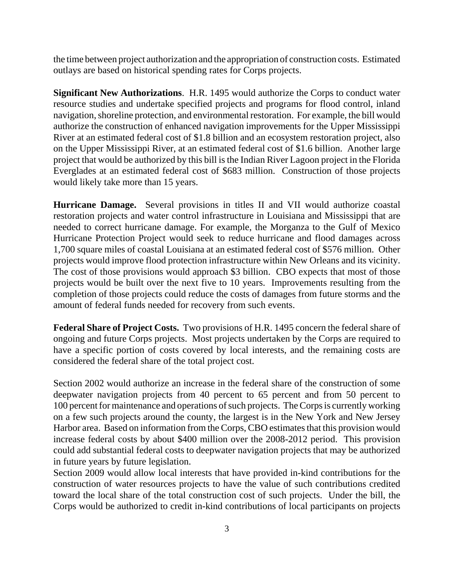the time between project authorization and the appropriation of construction costs. Estimated outlays are based on historical spending rates for Corps projects.

**Significant New Authorizations**. H.R. 1495 would authorize the Corps to conduct water resource studies and undertake specified projects and programs for flood control, inland navigation, shoreline protection, and environmental restoration. For example, the bill would authorize the construction of enhanced navigation improvements for the Upper Mississippi River at an estimated federal cost of \$1.8 billion and an ecosystem restoration project, also on the Upper Mississippi River, at an estimated federal cost of \$1.6 billion. Another large project that would be authorized by this bill is the Indian River Lagoon project in the Florida Everglades at an estimated federal cost of \$683 million. Construction of those projects would likely take more than 15 years.

**Hurricane Damage.** Several provisions in titles II and VII would authorize coastal restoration projects and water control infrastructure in Louisiana and Mississippi that are needed to correct hurricane damage. For example, the Morganza to the Gulf of Mexico Hurricane Protection Project would seek to reduce hurricane and flood damages across 1,700 square miles of coastal Louisiana at an estimated federal cost of \$576 million. Other projects would improve flood protection infrastructure within New Orleans and its vicinity. The cost of those provisions would approach \$3 billion. CBO expects that most of those projects would be built over the next five to 10 years. Improvements resulting from the completion of those projects could reduce the costs of damages from future storms and the amount of federal funds needed for recovery from such events.

**Federal Share of Project Costs.** Two provisions of H.R. 1495 concern the federal share of ongoing and future Corps projects. Most projects undertaken by the Corps are required to have a specific portion of costs covered by local interests, and the remaining costs are considered the federal share of the total project cost.

Section 2002 would authorize an increase in the federal share of the construction of some deepwater navigation projects from 40 percent to 65 percent and from 50 percent to 100 percent for maintenance and operations of such projects. The Corps is currently working on a few such projects around the county, the largest is in the New York and New Jersey Harbor area. Based on information from the Corps, CBO estimates that this provision would increase federal costs by about \$400 million over the 2008-2012 period. This provision could add substantial federal costs to deepwater navigation projects that may be authorized in future years by future legislation.

Section 2009 would allow local interests that have provided in-kind contributions for the construction of water resources projects to have the value of such contributions credited toward the local share of the total construction cost of such projects. Under the bill, the Corps would be authorized to credit in-kind contributions of local participants on projects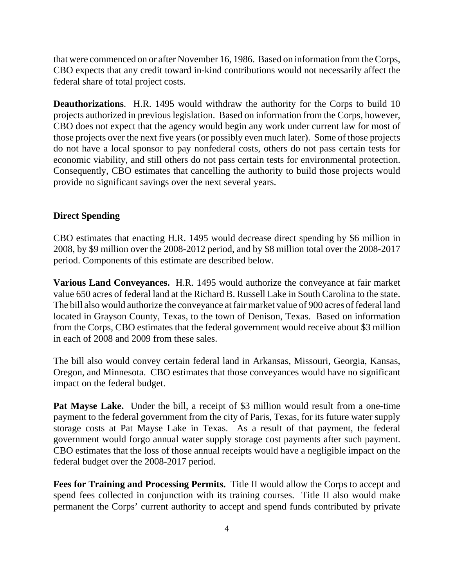that were commenced on or after November 16, 1986. Based on information from the Corps, CBO expects that any credit toward in-kind contributions would not necessarily affect the federal share of total project costs.

**Deauthorizations.** H.R. 1495 would withdraw the authority for the Corps to build 10 projects authorized in previous legislation. Based on information from the Corps, however, CBO does not expect that the agency would begin any work under current law for most of those projects over the next five years (or possibly even much later). Some of those projects do not have a local sponsor to pay nonfederal costs, others do not pass certain tests for economic viability, and still others do not pass certain tests for environmental protection. Consequently, CBO estimates that cancelling the authority to build those projects would provide no significant savings over the next several years.

#### **Direct Spending**

CBO estimates that enacting H.R. 1495 would decrease direct spending by \$6 million in 2008, by \$9 million over the 2008-2012 period, and by \$8 million total over the 2008-2017 period. Components of this estimate are described below.

**Various Land Conveyances.** H.R. 1495 would authorize the conveyance at fair market value 650 acres of federal land at the Richard B. Russell Lake in South Carolina to the state. The bill also would authorize the conveyance at fair market value of 900 acres of federal land located in Grayson County, Texas, to the town of Denison, Texas. Based on information from the Corps, CBO estimates that the federal government would receive about \$3 million in each of 2008 and 2009 from these sales.

The bill also would convey certain federal land in Arkansas, Missouri, Georgia, Kansas, Oregon, and Minnesota. CBO estimates that those conveyances would have no significant impact on the federal budget.

Pat Mayse Lake. Under the bill, a receipt of \$3 million would result from a one-time payment to the federal government from the city of Paris, Texas, for its future water supply storage costs at Pat Mayse Lake in Texas. As a result of that payment, the federal government would forgo annual water supply storage cost payments after such payment. CBO estimates that the loss of those annual receipts would have a negligible impact on the federal budget over the 2008-2017 period.

**Fees for Training and Processing Permits.** Title II would allow the Corps to accept and spend fees collected in conjunction with its training courses. Title II also would make permanent the Corps' current authority to accept and spend funds contributed by private